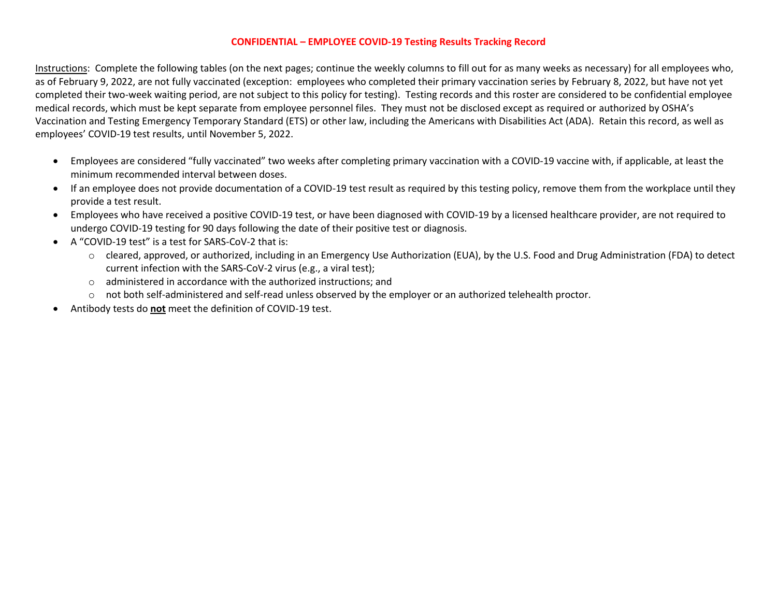## **CONFIDENTIAL – EMPLOYEE COVID-19 Testing Results Tracking Record**

Instructions: Complete the following tables (on the next pages; continue the weekly columns to fill out for as many weeks as necessary) for all employees who, as of February 9, 2022, are not fully vaccinated (exception: employees who completed their primary vaccination series by February 8, 2022, but have not yet completed their two-week waiting period, are not subject to this policy for testing).Testing records and this roster are considered to be confidential employee medical records, which must be kept separate from employee personnel files. They must not be disclosed except as required or authorized by OSHA's Vaccination and Testing Emergency Temporary Standard (ETS) or other law, including the Americans with Disabilities Act (ADA). Retain this record, as well as employees' COVID-19 test results, until November 5, 2022.

- Employees are considered "fully vaccinated" two weeks after completing primary vaccination with a COVID-19 vaccine with, if applicable, at least the minimum recommended interval between doses.
- If an employee does not provide documentation of a COVID-19 test result as required by this testing policy, remove them from the workplace until they provide a test result.
- Employees who have received a positive COVID-19 test, or have been diagnosed with COVID-19 by a licensed healthcare provider, are not required to undergo COVID-19 testing for 90 days following the date of their positive test or diagnosis.
- A "COVID-19 test" is a test for SARS-CoV-2 that is:
	- o cleared, approved, or authorized, including in an Emergency Use Authorization (EUA), by the U.S. Food and Drug Administration (FDA) to detect current infection with the SARS-CoV-2 virus (e.g., a viral test);
	- o administered in accordance with the authorized instructions; and
	- o not both self-administered and self-read unless observed by the employer or an authorized telehealth proctor.
- Antibody tests do **not** meet the definition of COVID-19 test.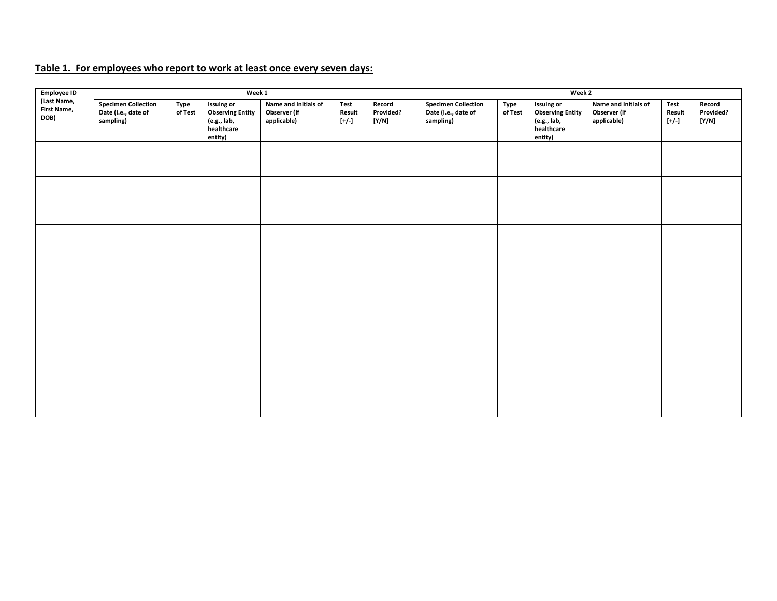## **Table 1. For employees who report to work at least once every seven days:**

| <b>Employee ID</b><br>(Last Name,<br><b>First Name,</b><br>DOB) |                                                                | Week 1          | Week 2                                                                               |                                                     |                         |                              |                                                                |                 |                                                                                      |                                                     |                           |                              |
|-----------------------------------------------------------------|----------------------------------------------------------------|-----------------|--------------------------------------------------------------------------------------|-----------------------------------------------------|-------------------------|------------------------------|----------------------------------------------------------------|-----------------|--------------------------------------------------------------------------------------|-----------------------------------------------------|---------------------------|------------------------------|
|                                                                 | <b>Specimen Collection</b><br>Date (i.e., date of<br>sampling) | Type<br>of Test | <b>Issuing or</b><br><b>Observing Entity</b><br>(e.g., lab,<br>healthcare<br>entity) | Name and Initials of<br>Observer (if<br>applicable) | Test<br>Result<br>$[+/$ | Record<br>Provided?<br>[Y/N] | <b>Specimen Collection</b><br>Date (i.e., date of<br>sampling) | Type<br>of Test | <b>Issuing or</b><br><b>Observing Entity</b><br>(e.g., lab,<br>healthcare<br>entity) | Name and Initials of<br>Observer (if<br>applicable) | Test<br>Result<br>$[+/.]$ | Record<br>Provided?<br>[Y/N] |
|                                                                 |                                                                |                 |                                                                                      |                                                     |                         |                              |                                                                |                 |                                                                                      |                                                     |                           |                              |
|                                                                 |                                                                |                 |                                                                                      |                                                     |                         |                              |                                                                |                 |                                                                                      |                                                     |                           |                              |
|                                                                 |                                                                |                 |                                                                                      |                                                     |                         |                              |                                                                |                 |                                                                                      |                                                     |                           |                              |
|                                                                 |                                                                |                 |                                                                                      |                                                     |                         |                              |                                                                |                 |                                                                                      |                                                     |                           |                              |
|                                                                 |                                                                |                 |                                                                                      |                                                     |                         |                              |                                                                |                 |                                                                                      |                                                     |                           |                              |
|                                                                 |                                                                |                 |                                                                                      |                                                     |                         |                              |                                                                |                 |                                                                                      |                                                     |                           |                              |